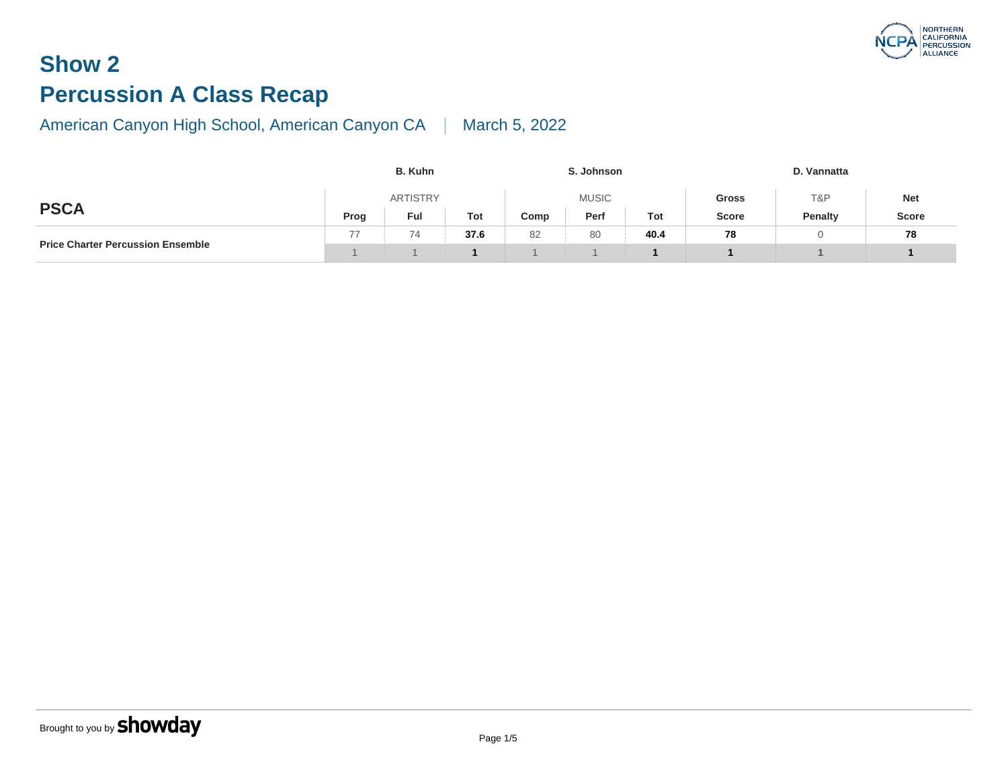# **Show 2 Percussion A Class Recap**

|                                          | <b>B.</b> Kuhn |                 |      |      |              |      |              |
|------------------------------------------|----------------|-----------------|------|------|--------------|------|--------------|
|                                          |                | <b>ARTISTRY</b> |      |      | <b>Gross</b> |      |              |
| <b>PSCA</b>                              | Prog           | Ful             | Tot  | Comp | Perf         | Tot  | <b>Score</b> |
|                                          | 77             | 74              | 37.6 | 82   | 80           | 40.4 | 78           |
| <b>Price Charter Percussion Ensemble</b> |                |                 |      |      |              |      |              |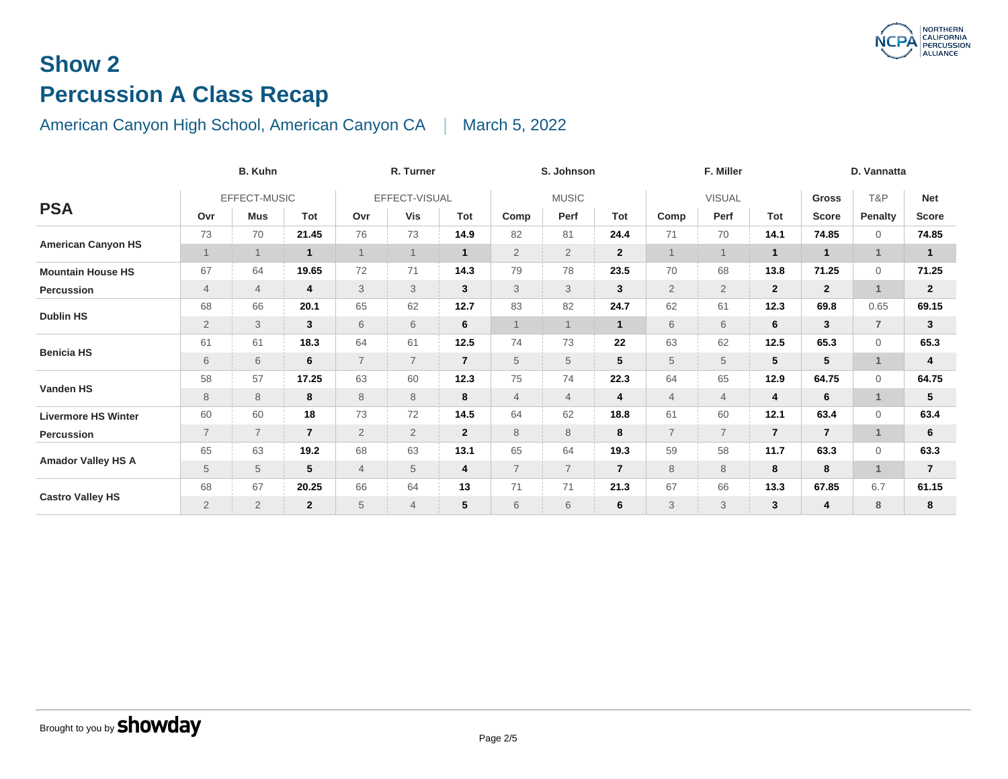# **Show 2 Percussion A Class Recap**

| <b>B. Kuhn</b>             |                |                |                |                | R. Turner      |                |                | S. Johnson     |                | F. Miller      |                |                |  |  |
|----------------------------|----------------|----------------|----------------|----------------|----------------|----------------|----------------|----------------|----------------|----------------|----------------|----------------|--|--|
|                            |                | EFFECT-MUSIC   |                |                | EFFECT-VISUAL  |                |                | <b>MUSIC</b>   |                |                | <b>VISUAL</b>  |                |  |  |
| <b>PSA</b>                 | Ovr            | <b>Mus</b>     | Tot            | Ovr            | Vis            | Tot            | Comp           | Perf           | Tot            | Comp           | Perf           | To             |  |  |
|                            | 73             | 70             | 21.45          | 76             | 73             | 14.9           | 82             | 81             | 24.4           | 71             | 70             | 14.            |  |  |
| <b>American Canyon HS</b>  | $\mathbf{1}$   | $\overline{1}$ | $\mathbf{1}$   |                | $\mathbf{1}$   | $\mathbf{1}$   | $\overline{2}$ | $\overline{2}$ | $\overline{2}$ | $\overline{1}$ |                | 1 <sup>1</sup> |  |  |
| <b>Mountain House HS</b>   | 67             | 64             | 19.65          | 72             | 71             | 14.3           | 79             | 78             | 23.5           | 70             | 68             | 13.            |  |  |
| Percussion                 | 4              | $\overline{4}$ | 4              | 3              | 3              | $\mathbf{3}$   | 3              | $\mathfrak{S}$ | 3              | $\overline{2}$ | $\overline{2}$ | $\mathbf{2}$   |  |  |
| <b>Dublin HS</b>           | 68             | 66             | 20.1           | 65             | 62             | 12.7           | 83             | 82             | 24.7           | 62             | 61             | 12.            |  |  |
|                            | $\overline{2}$ | $\sqrt{3}$     | 3              | 6              | 6              | 6              | $\overline{1}$ | $\mathbf 1$    | $\mathbf{1}$   | 6              | 6              | 6              |  |  |
|                            | 61             | 61             | 18.3           | 64             | 61             | 12.5           | 74             | 73             | 22             | 63             | 62             | 12.            |  |  |
| <b>Benicia HS</b>          | 6              | 6              | 6              | $\overline{7}$ | $\overline{7}$ | $\overline{7}$ | 5              | 5              | 5              | 5              | 5              | 5 <sub>l</sub> |  |  |
|                            | 58             | 57             | 17.25          | 63             | 60             | 12.3           | 75             | 74             | 22.3           | 64             | 65             | 12.            |  |  |
| Vanden HS                  | 8              | $\,8\,$        | 8              | 8              | 8              | 8              | $\overline{4}$ | $\overline{4}$ | 4              | $\overline{4}$ | $\overline{4}$ | 4              |  |  |
| <b>Livermore HS Winter</b> | 60             | 60             | 18             | 73             | 72             | 14.5           | 64             | 62             | 18.8           | 61             | 60             | 12.            |  |  |
| Percussion                 | $\overline{7}$ | $\overline{7}$ | $\overline{7}$ | $\overline{2}$ | $\overline{2}$ | $\overline{2}$ | 8              | 8              | 8              | $\overline{7}$ | $\overline{7}$ | $\mathbf{z}$   |  |  |
|                            | 65             | 63             | 19.2           | 68             | 63             | 13.1           | 65             | 64             | 19.3           | 59             | 58             | 11.            |  |  |
| <b>Amador Valley HS A</b>  | 5              | $\sqrt{5}$     | 5              | $\overline{4}$ | 5              | 4              | $\overline{7}$ | $\overline{7}$ | $\overline{7}$ | 8              | 8              | 8              |  |  |
|                            | 68             | 67             | 20.25          | 66             | 64             | 13             | 71             | 71             | 21.3           | 67             | 66             | 13.            |  |  |
| <b>Castro Valley HS</b>    | $\overline{2}$ | $\overline{2}$ | $\mathbf{2}$   | 5              | $\overline{4}$ | 5              | 6              | 6              | 6              | 3              | 3              | $\mathbf{3}$   |  |  |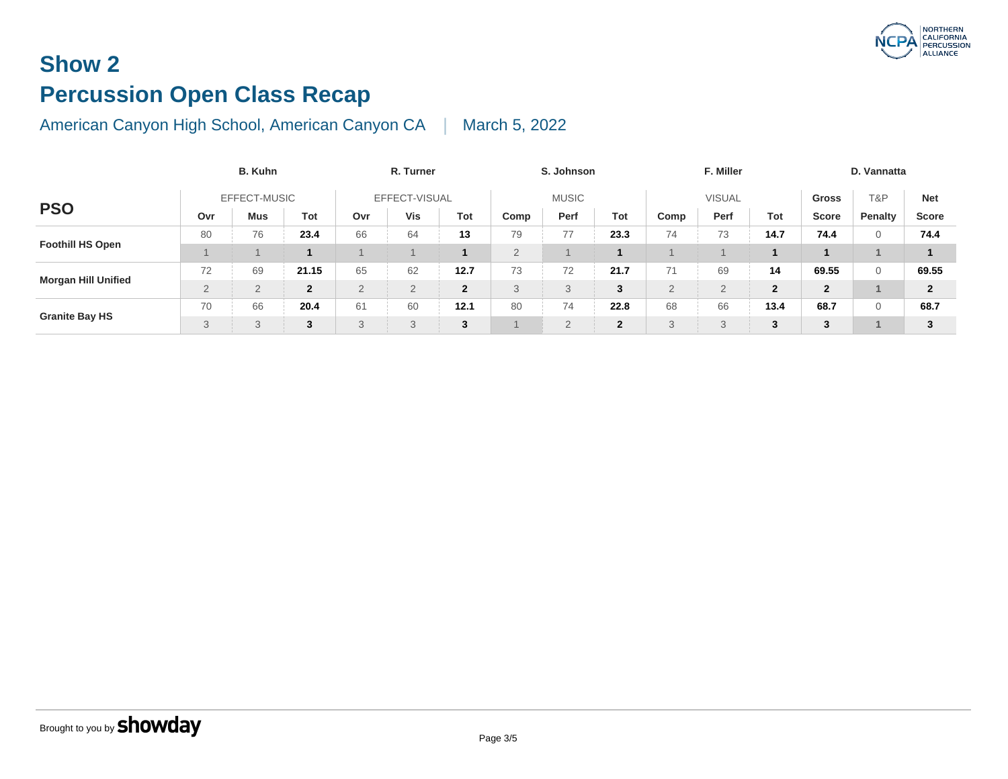# **Show 2 Percussion Open Class Recap**

|                            | <b>B. Kuhn</b> |     | R. Turner    |                |          |                | S. Johnson | F. Miller      |               |                |               |                |
|----------------------------|----------------|-----|--------------|----------------|----------|----------------|------------|----------------|---------------|----------------|---------------|----------------|
| <b>PSO</b>                 | EFFECT-MUSIC   |     |              | EFFECT-VISUAL  |          |                |            | <b>MUSIC</b>   | <b>VISUAL</b> |                |               |                |
|                            | Ovr            | Mus | Tot          | Ovr            | Vis      | Tot            | Comp       | Perf           | Tot           | Comp           | Perf          | To             |
|                            | 80             | 76  | 23.4         | 66             | 64       | 13             | 79         | 77             | 23.3          | 74             | 73            | 14.            |
| <b>Foothill HS Open</b>    |                |     |              |                |          |                | 2          |                |               |                |               |                |
|                            | 72             | 69  | 21.15        | 65             | 62       | 12.7           | 73         | 72             | 21.7          | 71             | 69            | 14             |
| <b>Morgan Hill Unified</b> | $\overline{2}$ | 2   | $\mathbf{2}$ | $\overline{2}$ | $\Omega$ | $\overline{2}$ | 3          |                | 3             | $\overline{2}$ | $\mathcal{D}$ | 2 <sub>l</sub> |
|                            | 70             | 66  | 20.4         | 61             | 60       | 12.1           | 80         | 74             | 22.8          | 68             | 66            | 13.            |
| <b>Granite Bay HS</b>      | 3              | 3   | 3            | 3              | 3        | 3              |            | $\overline{2}$ | $\mathbf{2}$  | 3              | 3             | 3 <sup>1</sup> |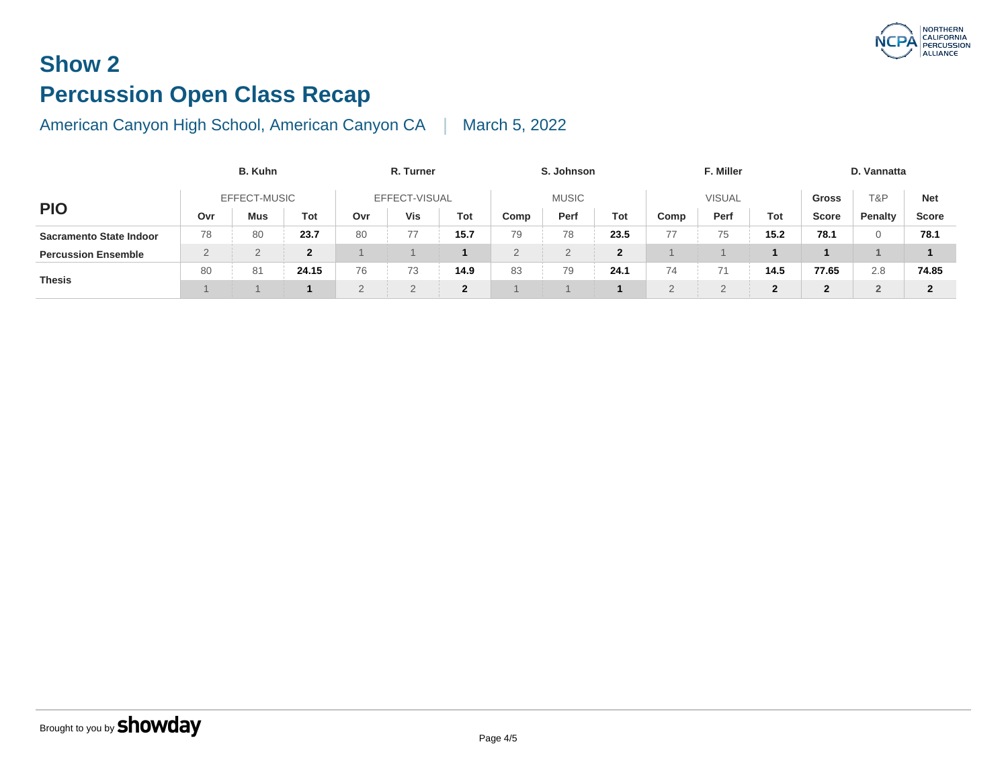# **Show 2 Percussion Open Class Recap**

|                                | <b>B.</b> Kuhn |            |              | R. Turner     |     |              |              | S. Johnson | F. Miller      |               |      |              |  |
|--------------------------------|----------------|------------|--------------|---------------|-----|--------------|--------------|------------|----------------|---------------|------|--------------|--|
| <b>PIO</b>                     | EFFECT-MUSIC   |            |              | EFFECT-VISUAL |     |              | <b>MUSIC</b> |            |                | <b>VISUAL</b> |      |              |  |
|                                | Ovr            | <b>Mus</b> | Tot          | Ovr           | Vis | Tot          | Comp         | Perf       | Tot            | Comp          | Perf | To           |  |
| <b>Sacramento State Indoor</b> | 78             | 80         | 23.7         | 80            | 77  | 15.7         | 79           | 78         | 23.5           | 77            | 75   | 15.1         |  |
| <b>Percussion Ensemble</b>     | $\Omega$<br>∼  | っ<br>∠     | $\mathbf{2}$ |               |     |              | $\Omega$     |            | $\overline{2}$ |               |      |              |  |
| <b>Thesis</b>                  | 80             | 81         | 24.15        | 76            | 73  | 14.9         | 83           | 79         | 24.1           | 74            | 74   | 14.          |  |
|                                |                |            |              | $\mathcal{D}$ |     | $\mathbf{2}$ |              |            |                | 2             | -    | $\mathbf{2}$ |  |